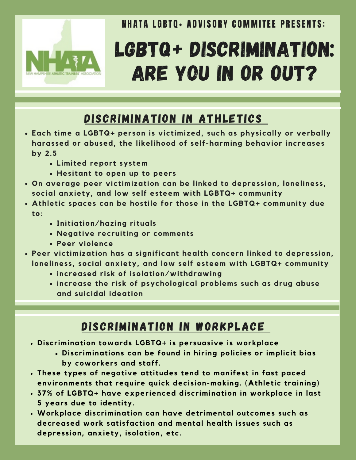

**NHATA LGBTO+ ADVISORY COMMITEE PRESENTS:** 

## LGBTQ+ DISCRIMINATION: ARE YOU IN OR OUT?

### Discrimination in Athletics

- **Each time a LGBTQ+ person is victimized, such as physically or verbally harassed or abused, the likelihood of self-harming behavior increases by 2.5**
	- **Limited repor t system**
	- **Hesitant to open up to peers**
- **On average peer victimization can be linked to depression, loneliness, social anxiety, and low self esteem with LGBTQ+ community**
- **Athletic spaces can be hostile for those in the LGBTQ+ community due to:**
	- **Initiation/hazing r ituals**
	- **Negative recruiting or comments**
	- **Peer violence**
- **Peer victimization has a significant health concern linked to depression, loneliness, social anxiety, and low self esteem with LGBTQ+ community**
	- **increased r isk of isolation/withdrawing**
	- **increase the r isk of psychological problems such as drug abuse and suicidal ideation**

#### Discrimination in Workplace

- **Discr imination towards LGBTQ+ is persuasive is workplace**
	- **Discr iminations can be found in hi r ing policies or implicit bias by coworkers and staff.**
- **These types of negative attitudes tend to manifest in fast paced envi ronments that requi re quick decision-making. (Athletic t raining)**
- **37% of LGBTQ+ have exper ienced discr imination in workplace in last 5 years due to identity.**
- **Workplace discr imination can have det r imental outcomes such as decreased work satisfaction and mental health issues such as depression, anxiety, isolation, etc.**